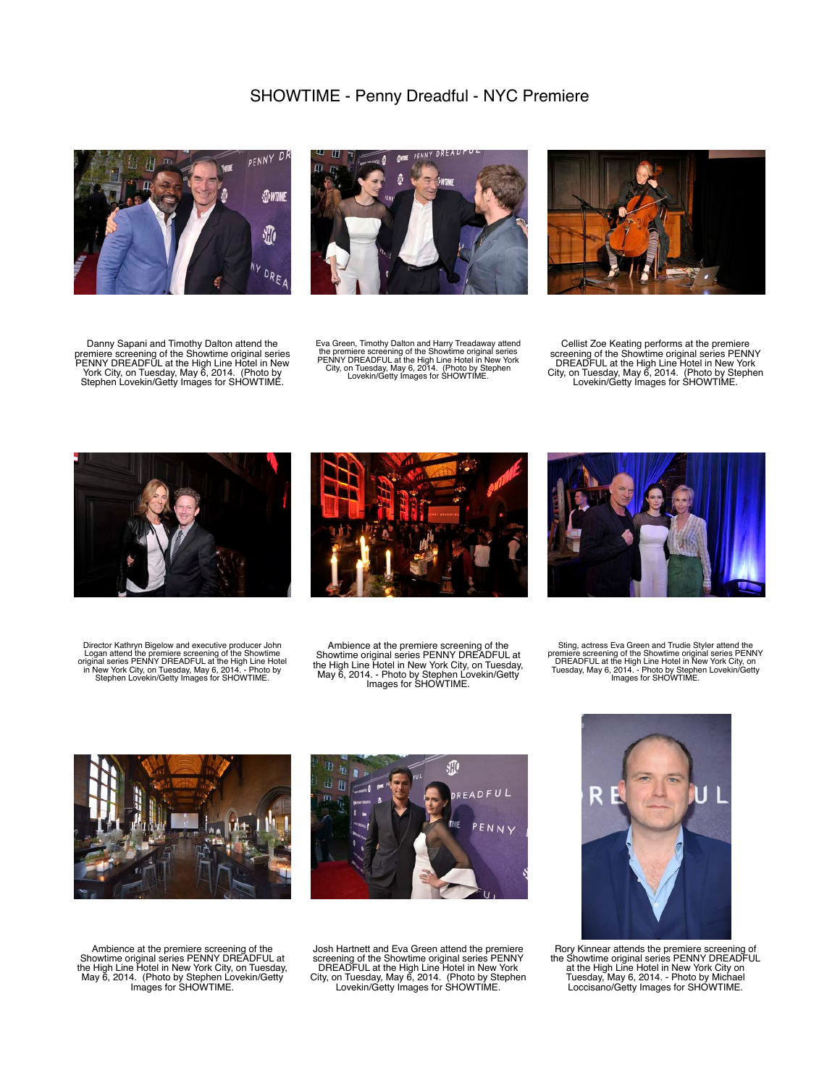

Danny Sapani and Timothy Dalton attend the premiere screening of the Showtime original series<br>PENNY DREADFUL at the High Line Hotel in New<br>York City, on Tuesday, May 6, 2014. (Photo by<br>Stephen Lovekin/Getty Images for SHOWTIME.



Eva Green, Timothy Dalton and Harry Treadaway attend<br>the premiere screening of the Showtime original series<br>PENNY DREADFUL at the High Line Hotel in New York<br>City, on Tuesday, May 6, 2014. (Photo by Stephen<br>Lovekin/Getty I



Cellist Zoe Keating performs at the premiere<br>screening of the Showtime original series PENNY<br>DREADFUL at the High Line Hotel in New York<br>City, on Tuesday, May 6, 2014. (Photo by Stephen<br>Lovekin/Getty Images for SHOWTIME.



Director Kathryn Bigelow and executive producer John Logan attend the premiere screening of the Showtime<br>original series PENNY DREADFUL at the High Line Hotel<br>in New York City, on Tuesday, May 6, 2014. - Photo by<br>Stephen Lovekin/Getty Images for SHOWTIME.



Ambience at the premiere screening of the<br>
Showtime original series PENNY DREADFUL at<br>
the High Line Hotel in New York City, on Tuesday,<br>
May 6, 2014. - Photo by Stephen Lovekin/Getty<br>
Images for SHOWTIME.



Sting, actress Eva Green and Trudie Styler attend the<br>premiere screening of the Showtime original series PENNY<br>DREADFUL at the High Line Hotel in New York City, on<br>Tuesday, May 6, 2014. - Photo by Stephen Lovekin/Getty<br>Ima



孤 READFUL

Ambience at the premiere screening of the<br>
Showtime original series PENNY DREADFUL at<br>
the High Line Hotel in New York City, on Tuesday,<br>
May 6, 2014. (Photo by Stephen Lovekin/Getty<br>
Images for SHOWTIME.

Josh Hartnett and Eva Green attend the premiere screening of the Showtime original series PENNY DREADFUL at the High Line Hotel in New York City, on Tuesday, May 6, 2014. (Photo by Stephen Lovekin/Getty Images for SHOWTIME.



Rory Kinnear attends the premiere screening of the Showtime original series PENNY DREADFUL at the High Line Hotel in New York City on Tuesday, May 6, 2014. - Photo by Michael Loccisano/Getty Images for SHOWTIME.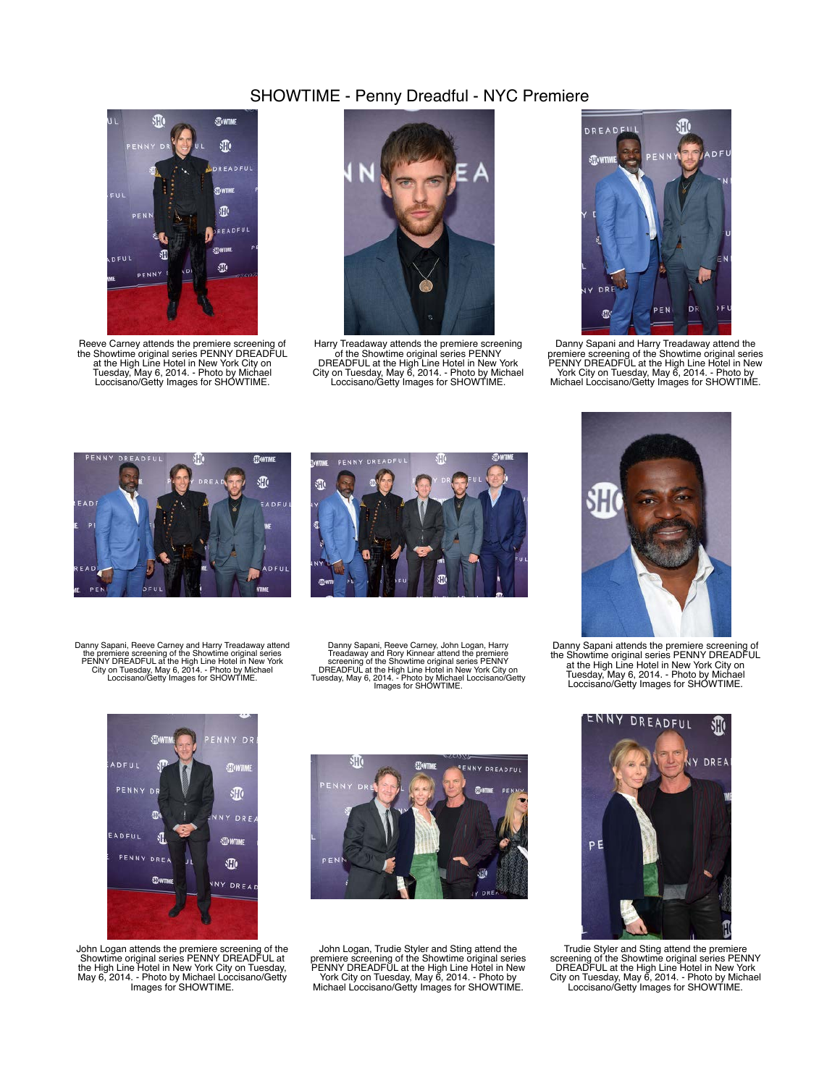

Reeve Carney attends the premiere screening of<br>the Showtime original series PENNY DREADFUL<br>at the High Line Hotel in New York City on<br>Tuesday, May 6, 2014. - Photo by Michael<br>Loccisano/Getty Images for SHOWTIME.



Harry Treadaway attends the premiere screening of the Showtime original series PENNY DREADFUL at the High Line Hotel in New York City on Tuesday, May 6, 2014. - Photo by Michael Loccisano/Getty Images for SHOWTIME.



Danny Sapani and Harry Treadaway attend the<br>premiere screening of the Showtime original series<br>PENNY DREADFUL at the High Line Hotel in New<br>York City on Tuesday, May 6, 2014. - Photo by<br>Michael Loccisano/Getty Images for S





Danny Sapani, Reeve Carney and Harry Treadaway attend<br>the premiere screening of the Showtime original series<br>PENNY DREADFUL at the High Line Hotel in New York<br>City on Tuesday, May 6, 2014. - Photo by Michael<br>Loccisano/Gett

Danny Sapani, Reeve Carney, John Logan, Harry Treadaway and Rory Kinnear attend the premiere<br>screening of the Showtime original series PENNY<br>DREADFUL at the High Line Hotel in New York City on<br>Tuesday, May 6, 2014. - Photo by Michael Loccisano/Getty<br>Images for SHOWTIM



Danny Sapani attends the premiere screening of the Showtime original series PENNY DREADFUL at the High Line Hotel in New York City on Tuesday, May 6, 2014. - Photo by Michael Loccisano/Getty Images for SHOWTIME.



John Logan attends the premiere screening of the Showtime original series PENNY DREADFUL at the High Line Hotel in New York City on Tuesday, May 6, 2014. - Photo by Michael Loccisano/Getty Images for SHOWTIME.



John Logan, Trudie Styler and Sting attend the<br>premiere screening of the Showtime original series<br>PENNY DREADFUL at the High Line Hotel in New<br>York City on Tuesday, May 6, 2014. - Photo by<br>Michael Loccisano/Getty Images fo



Trudie Styler and Sting attend the premiere screening of the Showtime original series PENNY DREADFUL at the High Line Hotel in New York City on Tuesday, May 6, 2014. - Photo by Michael Loccisano/Getty Images for SHOWTIME.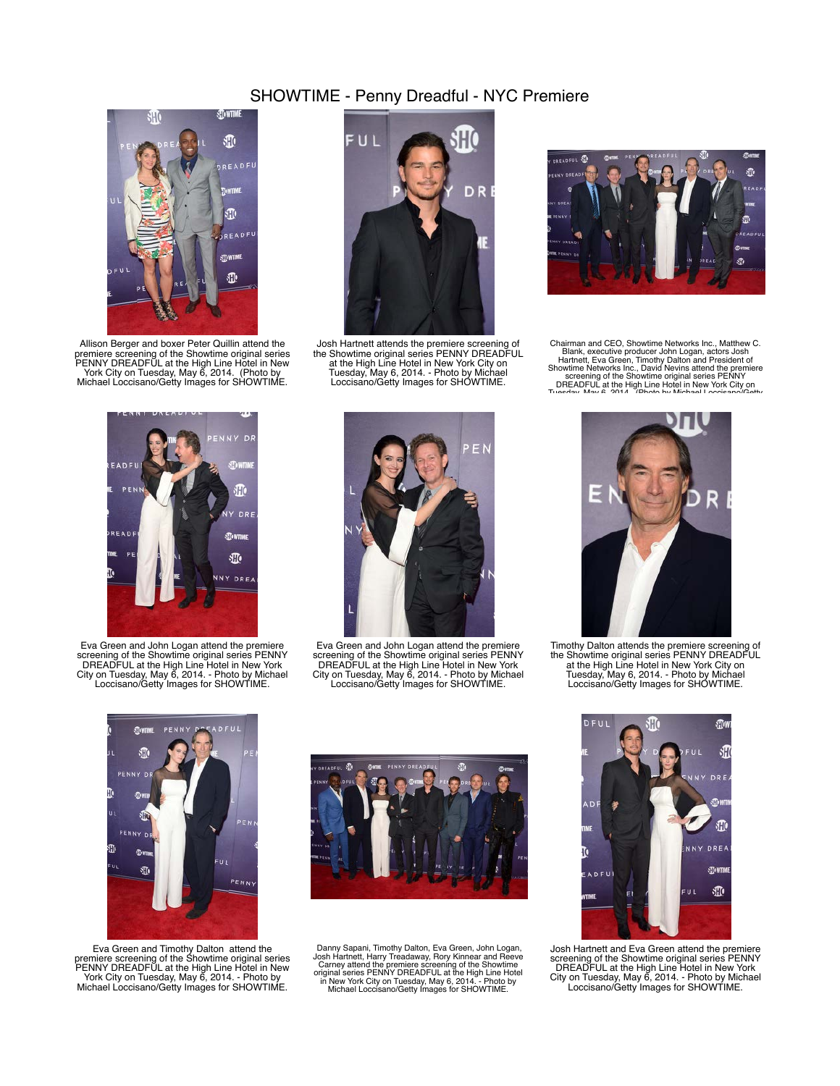

Allison Berger and boxer Peter Quillin attend the premiere screening of the Showtime original series PENNY DREADFUL at the High Line Hotel in New York City on Tuesday, May 6, 2014. (Photo by Michael Loccisano/Getty Images for SHOWTIME.



Josh Hartnett attends the premiere screening of the Showtime original series PENNY DREADFUL at the High Line Hotel in New York City on Tuesday, May 6, 2014. - Photo by Michael Loccisano/Getty Images for SHOWTIME.



Chairman and CEO, Showtime Networks Inc., Matthew<br>Blank, executive producer John Logan, actors Josh<br>Hartnett, Eva Green, Timothy Dalton and President of<br>Showtime Networks Inc., David Nevins attend the premiere<br>screening of



Eva Green and John Logan attend the premiere screening of the Showtime original series PENNY DREADFUL at the High Line Hotel in New York City on Tuesday, May 6, 2014. - Photo by Michael Loccisano/Getty Images for SHOWTIME.



Eva Green and John Logan attend the premiere screening of the Showtime original series PENNY DREADFUL at the High Line Hotel in New York City on Tuesday, May 6, 2014. - Photo by Michael Loccisano/Getty Images for SHOWTIME.



Timothy Dalton attends the premiere screening of the Showtime original series PENNY DREADFUL at the High Line Hotel in New York City on Tuesday, May 6, 2014. - Photo by Michael Loccisano/Getty Images for SHOWTIME.



Eva Green and Timothy Dalton attend the<br>premiere screening of the Showtime original series<br>PENNY DREADFUL at the High Line Hotel in New<br>York City on Tuesday, May 6, 2014. - Photo by<br>Michael Loccisano/Getty Images for SHOWT



Danny Sapani, Timothy Dalton, Eva Green, John Logan, Josh Hartnett, Harry Treadaway, Rory Kinnear and Reeve<br>Carney attend the premiere screening of the Showtime<br>original series PENNY DREADFUL at the High Line Hotel<br>in New



Josh Hartnett and Eva Green attend the premiere screening of the Showtime original series PENNY DREADFUL at the High Line Hotel in New York City on Tuesday, May 6, 2014. - Photo by Michael Loccisano/Getty Images for SHOWTIME.